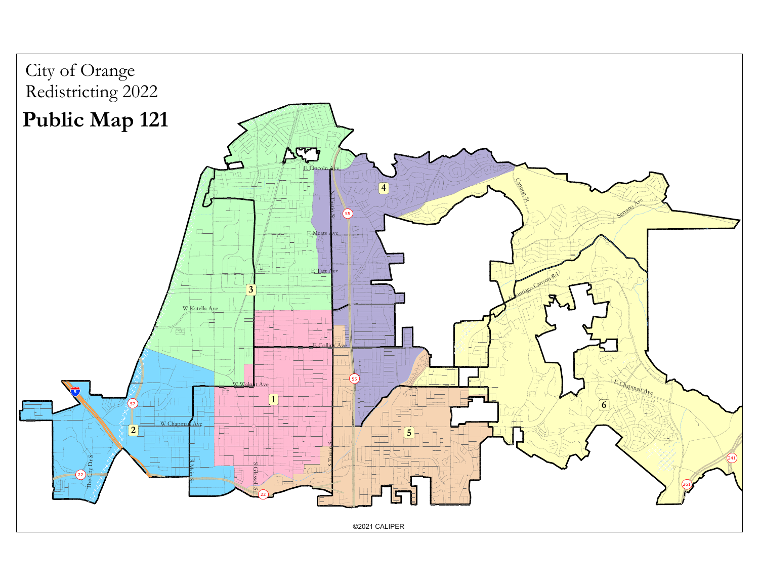